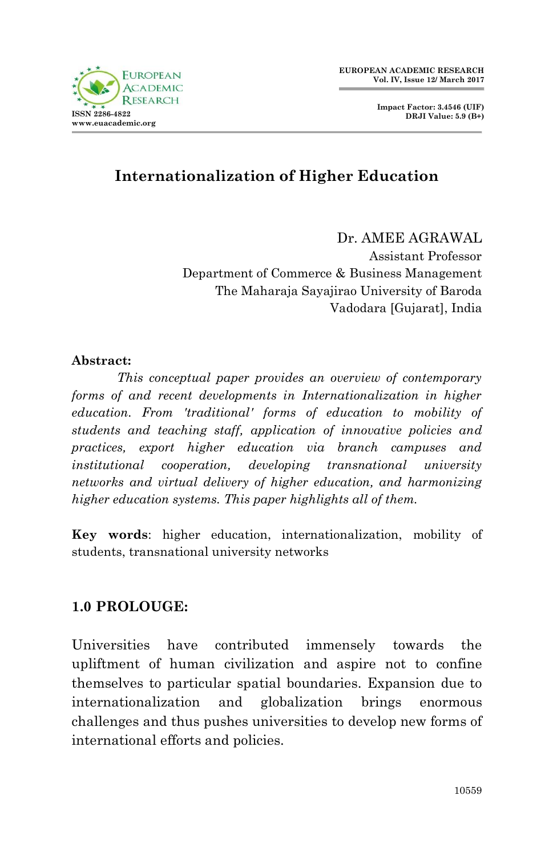



# **Internationalization of Higher Education**

Dr. AMEE AGRAWAL Assistant Professor Department of Commerce & Business Management The Maharaja Sayajirao University of Baroda Vadodara [Gujarat], India

#### **Abstract:**

*This conceptual paper provides an overview of contemporary forms of and recent developments in Internationalization in higher education. From 'traditional' forms of education to mobility of students and teaching staff, application of innovative policies and practices, export higher education via branch campuses and institutional cooperation, developing transnational university networks and virtual delivery of higher education, and harmonizing higher education systems. This paper highlights all of them.* 

**Key words**: higher education, internationalization, mobility of students, transnational university networks

### **1.0 PROLOUGE:**

Universities have contributed immensely towards the upliftment of human civilization and aspire not to confine themselves to particular spatial boundaries. Expansion due to internationalization and globalization brings enormous challenges and thus pushes universities to develop new forms of international efforts and policies.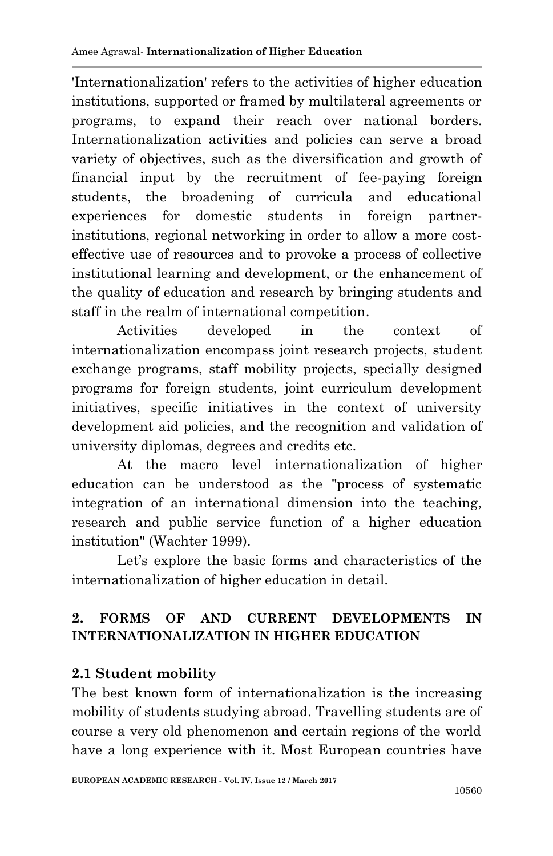'Internationalization' refers to the activities of higher education institutions, supported or framed by multilateral agreements or programs, to expand their reach over national borders. Internationalization activities and policies can serve a broad variety of objectives, such as the diversification and growth of financial input by the recruitment of fee-paying foreign students, the broadening of curricula and educational experiences for domestic students in foreign partnerinstitutions, regional networking in order to allow a more costeffective use of resources and to provoke a process of collective institutional learning and development, or the enhancement of the quality of education and research by bringing students and staff in the realm of international competition.

Activities developed in the context of internationalization encompass joint research projects, student exchange programs, staff mobility projects, specially designed programs for foreign students, joint curriculum development initiatives, specific initiatives in the context of university development aid policies, and the recognition and validation of university diplomas, degrees and credits etc.

At the macro level internationalization of higher education can be understood as the "process of systematic integration of an international dimension into the teaching, research and public service function of a higher education institution" (Wachter 1999).

Let's explore the basic forms and characteristics of the internationalization of higher education in detail.

# **2. FORMS OF AND CURRENT DEVELOPMENTS IN INTERNATIONALIZATION IN HIGHER EDUCATION**

# **2.1 Student mobility**

The best known form of internationalization is the increasing mobility of students studying abroad. Travelling students are of course a very old phenomenon and certain regions of the world have a long experience with it. Most European countries have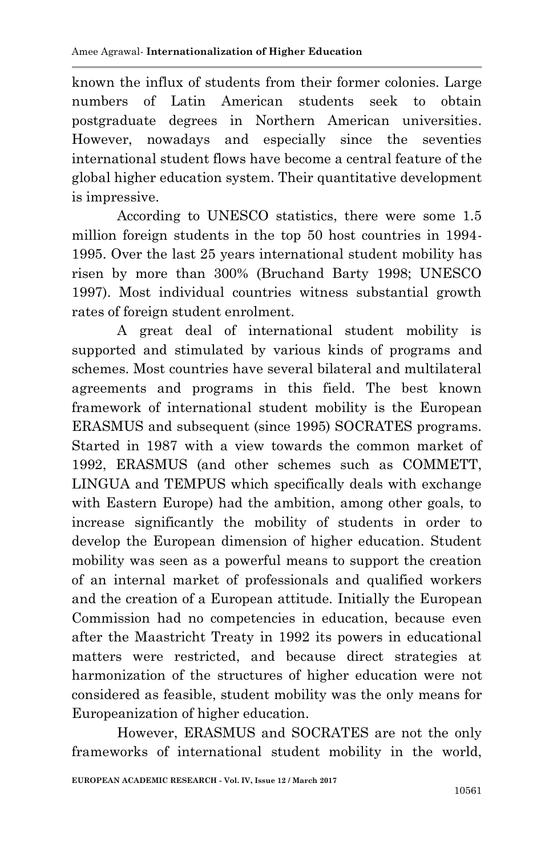known the influx of students from their former colonies. Large numbers of Latin American students seek to obtain postgraduate degrees in Northern American universities. However, nowadays and especially since the seventies international student flows have become a central feature of the global higher education system. Their quantitative development is impressive.

According to UNESCO statistics, there were some 1.5 million foreign students in the top 50 host countries in 1994- 1995. Over the last 25 years international student mobility has risen by more than 300% (Bruchand Barty 1998; UNESCO 1997). Most individual countries witness substantial growth rates of foreign student enrolment.

A great deal of international student mobility is supported and stimulated by various kinds of programs and schemes. Most countries have several bilateral and multilateral agreements and programs in this field. The best known framework of international student mobility is the European ERASMUS and subsequent (since 1995) SOCRATES programs. Started in 1987 with a view towards the common market of 1992, ERASMUS (and other schemes such as COMMETT, LINGUA and TEMPUS which specifically deals with exchange with Eastern Europe) had the ambition, among other goals, to increase significantly the mobility of students in order to develop the European dimension of higher education. Student mobility was seen as a powerful means to support the creation of an internal market of professionals and qualified workers and the creation of a European attitude. Initially the European Commission had no competencies in education, because even after the Maastricht Treaty in 1992 its powers in educational matters were restricted, and because direct strategies at harmonization of the structures of higher education were not considered as feasible, student mobility was the only means for Europeanization of higher education.

However, ERASMUS and SOCRATES are not the only frameworks of international student mobility in the world,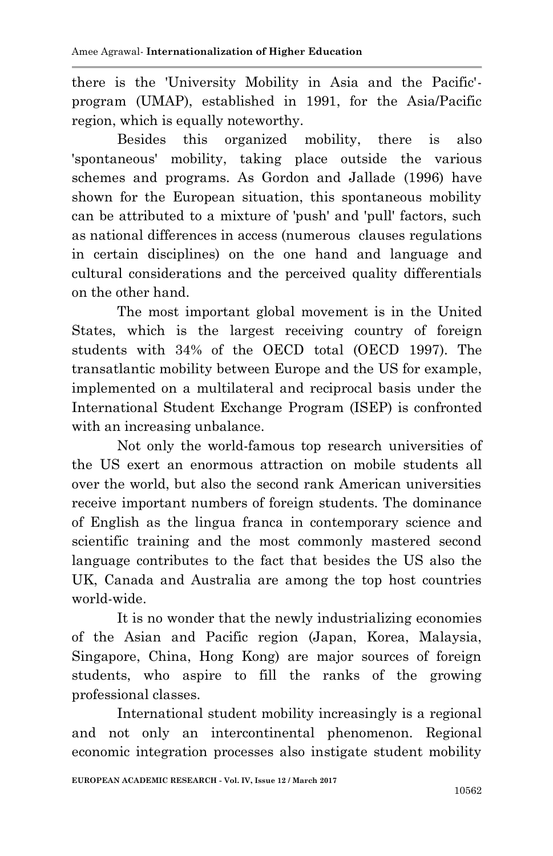there is the 'University Mobility in Asia and the Pacific' program (UMAP), established in 1991, for the Asia/Pacific region, which is equally noteworthy.

Besides this organized mobility, there is also 'spontaneous' mobility, taking place outside the various schemes and programs. As Gordon and Jallade (1996) have shown for the European situation, this spontaneous mobility can be attributed to a mixture of 'push' and 'pull' factors, such as national differences in access (numerous clauses regulations in certain disciplines) on the one hand and language and cultural considerations and the perceived quality differentials on the other hand.

The most important global movement is in the United States, which is the largest receiving country of foreign students with 34% of the OECD total (OECD 1997). The transatlantic mobility between Europe and the US for example, implemented on a multilateral and reciprocal basis under the International Student Exchange Program (ISEP) is confronted with an increasing unbalance.

Not only the world-famous top research universities of the US exert an enormous attraction on mobile students all over the world, but also the second rank American universities receive important numbers of foreign students. The dominance of English as the lingua franca in contemporary science and scientific training and the most commonly mastered second language contributes to the fact that besides the US also the UK, Canada and Australia are among the top host countries world-wide.

It is no wonder that the newly industrializing economies of the Asian and Pacific region (Japan, Korea, Malaysia, Singapore, China, Hong Kong) are major sources of foreign students, who aspire to fill the ranks of the growing professional classes.

International student mobility increasingly is a regional and not only an intercontinental phenomenon. Regional economic integration processes also instigate student mobility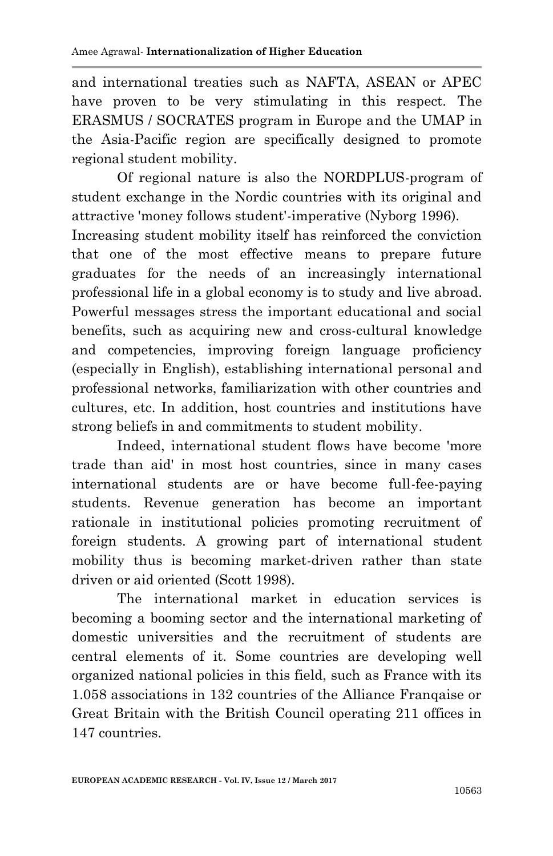and international treaties such as NAFTA, ASEAN or APEC have proven to be very stimulating in this respect. The ERASMUS / SOCRATES program in Europe and the UMAP in the Asia-Pacific region are specifically designed to promote regional student mobility.

Of regional nature is also the NORDPLUS-program of student exchange in the Nordic countries with its original and attractive 'money follows student'-imperative (Nyborg 1996).

Increasing student mobility itself has reinforced the conviction that one of the most effective means to prepare future graduates for the needs of an increasingly international professional life in a global economy is to study and live abroad. Powerful messages stress the important educational and social benefits, such as acquiring new and cross-cultural knowledge and competencies, improving foreign language proficiency (especially in English), establishing international personal and professional networks, familiarization with other countries and cultures, etc. In addition, host countries and institutions have strong beliefs in and commitments to student mobility.

Indeed, international student flows have become 'more trade than aid' in most host countries, since in many cases international students are or have become full-fee-paying students. Revenue generation has become an important rationale in institutional policies promoting recruitment of foreign students. A growing part of international student mobility thus is becoming market-driven rather than state driven or aid oriented (Scott 1998).

The international market in education services is becoming a booming sector and the international marketing of domestic universities and the recruitment of students are central elements of it. Some countries are developing well organized national policies in this field, such as France with its 1.058 associations in 132 countries of the Alliance Franqaise or Great Britain with the British Council operating 211 offices in 147 countries.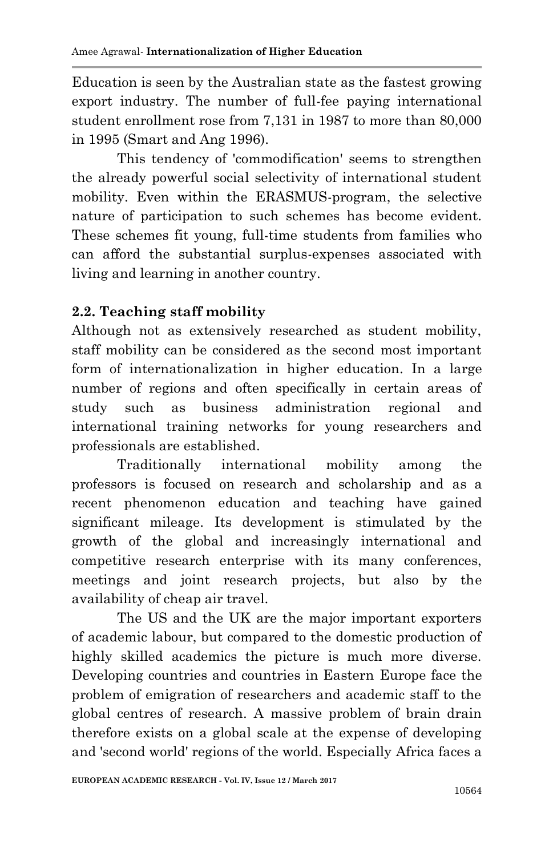Education is seen by the Australian state as the fastest growing export industry. The number of full-fee paying international student enrollment rose from 7,131 in 1987 to more than 80,000 in 1995 (Smart and Ang 1996).

This tendency of 'commodification' seems to strengthen the already powerful social selectivity of international student mobility. Even within the ERASMUS-program, the selective nature of participation to such schemes has become evident. These schemes fit young, full-time students from families who can afford the substantial surplus-expenses associated with living and learning in another country.

### **2.2. Teaching staff mobility**

Although not as extensively researched as student mobility, staff mobility can be considered as the second most important form of internationalization in higher education. In a large number of regions and often specifically in certain areas of study such as business administration regional and international training networks for young researchers and professionals are established.

Traditionally international mobility among the professors is focused on research and scholarship and as a recent phenomenon education and teaching have gained significant mileage. Its development is stimulated by the growth of the global and increasingly international and competitive research enterprise with its many conferences, meetings and joint research projects, but also by the availability of cheap air travel.

The US and the UK are the major important exporters of academic labour, but compared to the domestic production of highly skilled academics the picture is much more diverse. Developing countries and countries in Eastern Europe face the problem of emigration of researchers and academic staff to the global centres of research. A massive problem of brain drain therefore exists on a global scale at the expense of developing and 'second world' regions of the world. Especially Africa faces a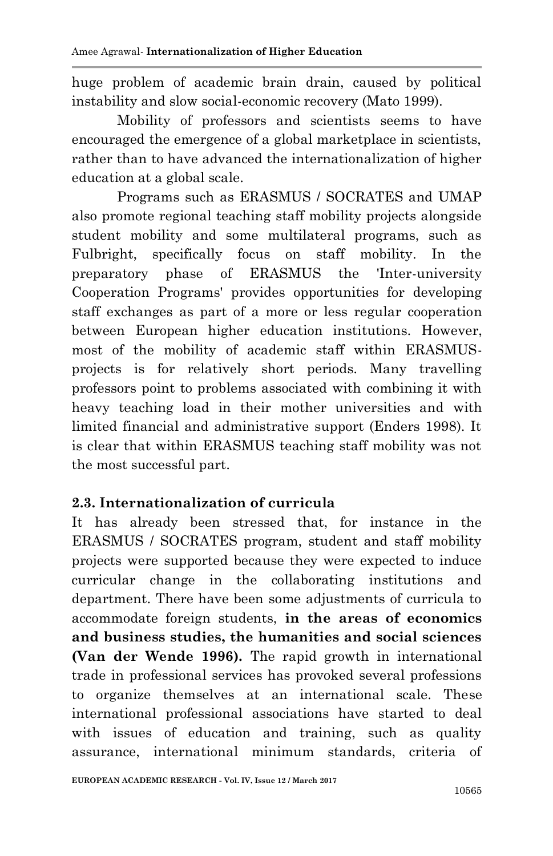huge problem of academic brain drain, caused by political instability and slow social-economic recovery (Mato 1999).

Mobility of professors and scientists seems to have encouraged the emergence of a global marketplace in scientists, rather than to have advanced the internationalization of higher education at a global scale.

Programs such as ERASMUS / SOCRATES and UMAP also promote regional teaching staff mobility projects alongside student mobility and some multilateral programs, such as Fulbright, specifically focus on staff mobility. In the preparatory phase of ERASMUS the 'Inter-university Cooperation Programs' provides opportunities for developing staff exchanges as part of a more or less regular cooperation between European higher education institutions. However, most of the mobility of academic staff within ERASMUSprojects is for relatively short periods. Many travelling professors point to problems associated with combining it with heavy teaching load in their mother universities and with limited financial and administrative support (Enders 1998). It is clear that within ERASMUS teaching staff mobility was not the most successful part.

### **2.3. Internationalization of curricula**

It has already been stressed that, for instance in the ERASMUS / SOCRATES program, student and staff mobility projects were supported because they were expected to induce curricular change in the collaborating institutions and department. There have been some adjustments of curricula to accommodate foreign students, **in the areas of economics and business studies, the humanities and social sciences (Van der Wende 1996).** The rapid growth in international trade in professional services has provoked several professions to organize themselves at an international scale. These international professional associations have started to deal with issues of education and training, such as quality assurance, international minimum standards, criteria of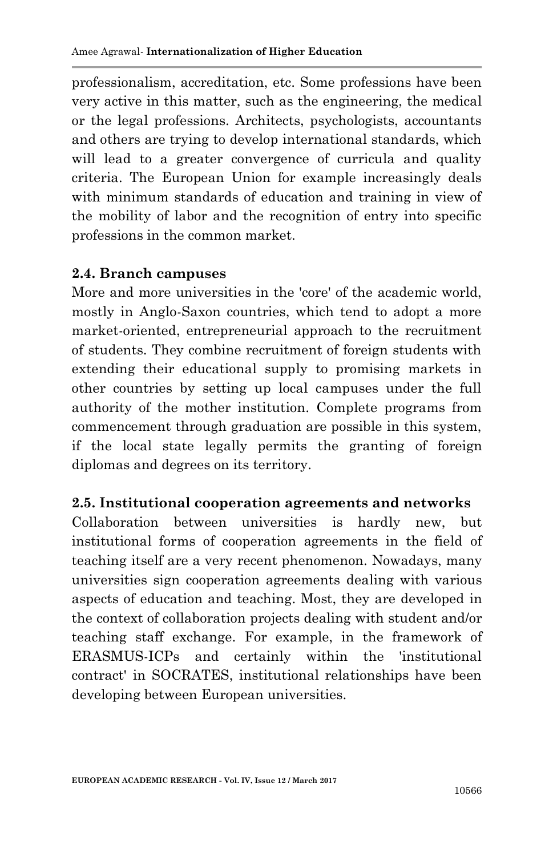professionalism, accreditation, etc. Some professions have been very active in this matter, such as the engineering, the medical or the legal professions. Architects, psychologists, accountants and others are trying to develop international standards, which will lead to a greater convergence of curricula and quality criteria. The European Union for example increasingly deals with minimum standards of education and training in view of the mobility of labor and the recognition of entry into specific professions in the common market.

### **2.4. Branch campuses**

More and more universities in the 'core' of the academic world, mostly in Anglo-Saxon countries, which tend to adopt a more market-oriented, entrepreneurial approach to the recruitment of students. They combine recruitment of foreign students with extending their educational supply to promising markets in other countries by setting up local campuses under the full authority of the mother institution. Complete programs from commencement through graduation are possible in this system, if the local state legally permits the granting of foreign diplomas and degrees on its territory.

### **2.5. Institutional cooperation agreements and networks**

Collaboration between universities is hardly new, but institutional forms of cooperation agreements in the field of teaching itself are a very recent phenomenon. Nowadays, many universities sign cooperation agreements dealing with various aspects of education and teaching. Most, they are developed in the context of collaboration projects dealing with student and/or teaching staff exchange. For example, in the framework of ERASMUS-ICPs and certainly within the 'institutional contract' in SOCRATES, institutional relationships have been developing between European universities.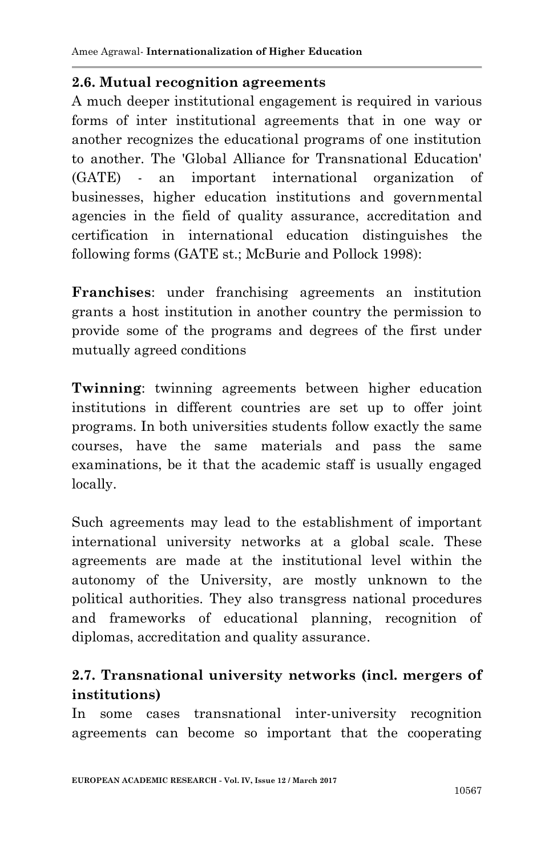#### **2.6. Mutual recognition agreements**

A much deeper institutional engagement is required in various forms of inter institutional agreements that in one way or another recognizes the educational programs of one institution to another. The 'Global Alliance for Transnational Education' (GATE) - an important international organization of businesses, higher education institutions and governmental agencies in the field of quality assurance, accreditation and certification in international education distinguishes the following forms (GATE st.; McBurie and Pollock 1998):

**Franchises**: under franchising agreements an institution grants a host institution in another country the permission to provide some of the programs and degrees of the first under mutually agreed conditions

**Twinning**: twinning agreements between higher education institutions in different countries are set up to offer joint programs. In both universities students follow exactly the same courses, have the same materials and pass the same examinations, be it that the academic staff is usually engaged locally.

Such agreements may lead to the establishment of important international university networks at a global scale. These agreements are made at the institutional level within the autonomy of the University, are mostly unknown to the political authorities. They also transgress national procedures and frameworks of educational planning, recognition of diplomas, accreditation and quality assurance.

## **2.7. Transnational university networks (incl. mergers of institutions)**

In some cases transnational inter-university recognition agreements can become so important that the cooperating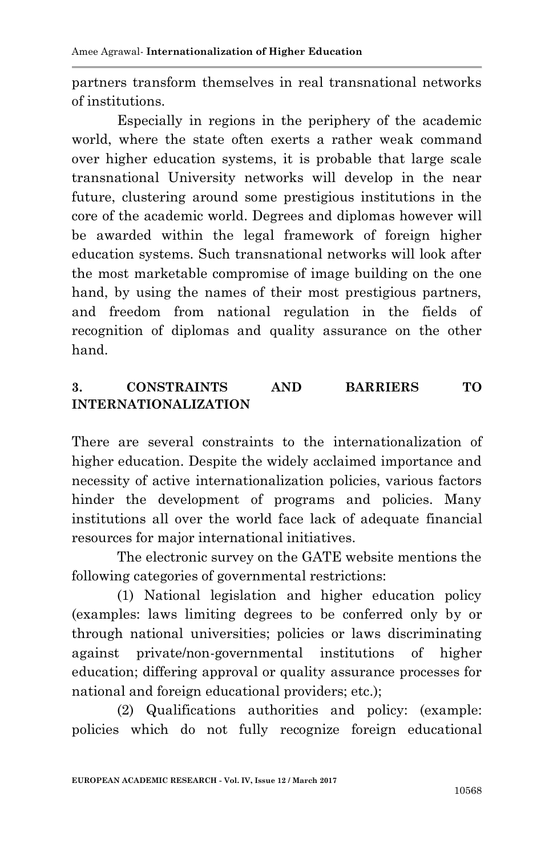partners transform themselves in real transnational networks of institutions.

Especially in regions in the periphery of the academic world, where the state often exerts a rather weak command over higher education systems, it is probable that large scale transnational University networks will develop in the near future, clustering around some prestigious institutions in the core of the academic world. Degrees and diplomas however will be awarded within the legal framework of foreign higher education systems. Such transnational networks will look after the most marketable compromise of image building on the one hand, by using the names of their most prestigious partners, and freedom from national regulation in the fields of recognition of diplomas and quality assurance on the other hand.

### **3. CONSTRAINTS AND BARRIERS TO INTERNATIONALIZATION**

There are several constraints to the internationalization of higher education. Despite the widely acclaimed importance and necessity of active internationalization policies, various factors hinder the development of programs and policies. Many institutions all over the world face lack of adequate financial resources for major international initiatives.

The electronic survey on the GATE website mentions the following categories of governmental restrictions:

(1) National legislation and higher education policy (examples: laws limiting degrees to be conferred only by or through national universities; policies or laws discriminating against private/non-governmental institutions of higher education; differing approval or quality assurance processes for national and foreign educational providers; etc.);

(2) Qualifications authorities and policy: (example: policies which do not fully recognize foreign educational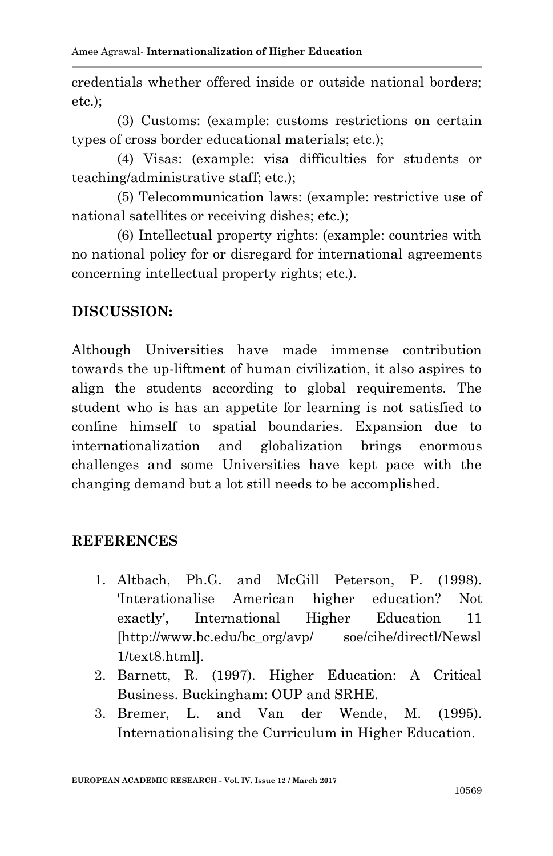credentials whether offered inside or outside national borders; etc.);

(3) Customs: (example: customs restrictions on certain types of cross border educational materials; etc.);

(4) Visas: (example: visa difficulties for students or teaching/administrative staff; etc.);

(5) Telecommunication laws: (example: restrictive use of national satellites or receiving dishes; etc.);

(6) Intellectual property rights: (example: countries with no national policy for or disregard for international agreements concerning intellectual property rights; etc.).

### **DISCUSSION:**

Although Universities have made immense contribution towards the up-liftment of human civilization, it also aspires to align the students according to global requirements. The student who is has an appetite for learning is not satisfied to confine himself to spatial boundaries. Expansion due to internationalization and globalization brings enormous challenges and some Universities have kept pace with the changing demand but a lot still needs to be accomplished.

### **REFERENCES**

- 1. Altbach, Ph.G. and McGill Peterson, P. (1998). 'Interationalise American higher education? Not exactly', International Higher Education 11 [http://www.bc.edu/bc\_org/avp/ soe/cihe/directl/Newsl 1/text8.html].
- 2. Barnett, R. (1997). Higher Education: A Critical Business. Buckingham: OUP and SRHE.
- 3. Bremer, L. and Van der Wende, M. (1995). Internationalising the Curriculum in Higher Education.